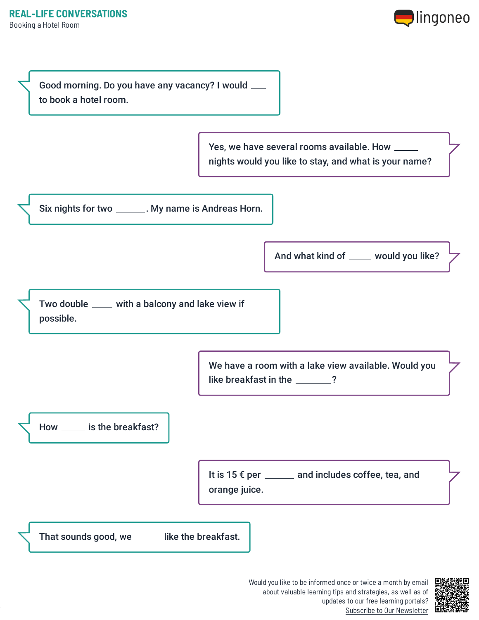



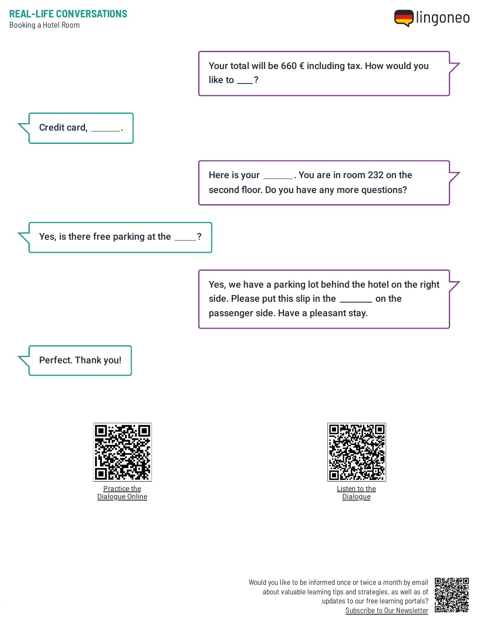

Your total will be 660 € including tax. How would you like to  $\_\$ ?



Here is your \_\_\_\_\_\_\_. You are in room 232 on the second floor. Do you have any more questions?

Yes, is there free parking at the \_\_\_\_?

Yes, we have a parking lot behind the hotel on the right side. Please put this slip in the \_\_\_\_\_\_ on the passenger side. Have a pleasant stay.

Perfect. Thank you!



Practice the [Dialogue](https://www.lingoneo.org/learn-german/page/online-course/page-1838-practice) Online



Listen to the **[Dialogue](https://www.lingoneo.org/wp-content/uploads/media/audio/audio-dialogue/de-en/Booking%20a%20Hotel%20Room%20-%20Dialogue%20(%20lingoneo.org%20).mp3)**